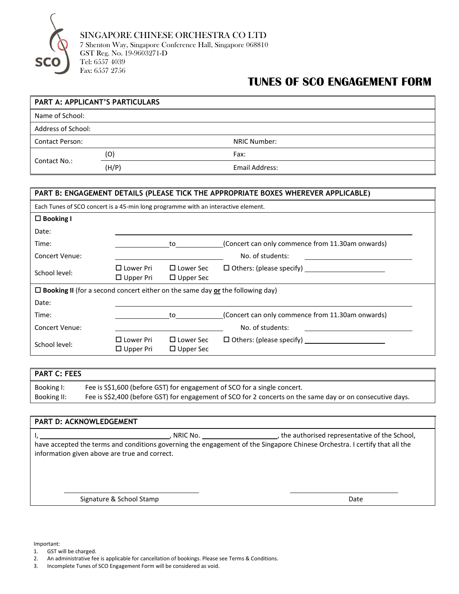

## **TUNES OF SCO ENGAGEMENT FORM**

| PART A: APPLICANT'S PARTICULARS |       |                |  |  |  |
|---------------------------------|-------|----------------|--|--|--|
| Name of School:                 |       |                |  |  |  |
| <b>Address of School:</b>       |       |                |  |  |  |
| <b>Contact Person:</b>          |       | NRIC Number:   |  |  |  |
| Contact No.:                    | (O)   | Fax:           |  |  |  |
|                                 | (H/P) | Email Address: |  |  |  |

| PART B: ENGAGEMENT DETAILS (PLEASE TICK THE APPROPRIATE BOXES WHEREVER APPLICABLE)          |                                         |                                            |                                                     |  |  |
|---------------------------------------------------------------------------------------------|-----------------------------------------|--------------------------------------------|-----------------------------------------------------|--|--|
| Each Tunes of SCO concert is a 45-min long programme with an interactive element.           |                                         |                                            |                                                     |  |  |
| $\Box$ Booking I                                                                            |                                         |                                            |                                                     |  |  |
| Date:                                                                                       |                                         |                                            |                                                     |  |  |
| Time:                                                                                       |                                         | to                                         | (Concert can only commence from 11.30am onwards)    |  |  |
| <b>Concert Venue:</b>                                                                       |                                         |                                            | No. of students:<br><u> 1989 - Jan Alexandria (</u> |  |  |
| School level:                                                                               | $\square$ Lower Pri<br>$\Box$ Upper Pri | $\square$ Lower Sec<br>$\square$ Upper Sec | $\Box$ Others: (please specify)                     |  |  |
| $\Box$ <b>Booking II</b> (for a second concert either on the same day or the following day) |                                         |                                            |                                                     |  |  |
| Date:                                                                                       |                                         |                                            |                                                     |  |  |
| Time:                                                                                       |                                         | to                                         | (Concert can only commence from 11.30am onwards)    |  |  |
| <b>Concert Venue:</b>                                                                       |                                         |                                            | No. of students:                                    |  |  |
| School level:                                                                               | $\square$ Lower Pri<br>$\Box$ Upper Pri | $\square$ Lower Sec<br>$\square$ Upper Sec | $\Box$ Others: (please specify)                     |  |  |

| I PART C: FEES |                                                                                                            |  |  |  |
|----------------|------------------------------------------------------------------------------------------------------------|--|--|--|
| Booking I:     | Fee is \$\$1,600 (before GST) for engagement of SCO for a single concert.                                  |  |  |  |
| Booking II:    | Fee is \$\$2,400 (before GST) for engagement of SCO for 2 concerts on the same day or on consecutive days. |  |  |  |

| <b>PART D: ACKNOWLEDGEMENT</b>                |                                                                                                                                                                                        |
|-----------------------------------------------|----------------------------------------------------------------------------------------------------------------------------------------------------------------------------------------|
| information given above are true and correct. | the authorised representative of the School,<br>NRIC No.<br>have accepted the terms and conditions governing the engagement of the Singapore Chinese Orchestra. I certify that all the |
| Signature & School Stamp                      | Date                                                                                                                                                                                   |

Important:

1. GST will be charged.<br>2. An administrative fee

2. An administrative fee is applicable for cancellation of bookings. Please see Terms & Conditions.

3. Incomplete Tunes of SCO Engagement Form will be considered as void.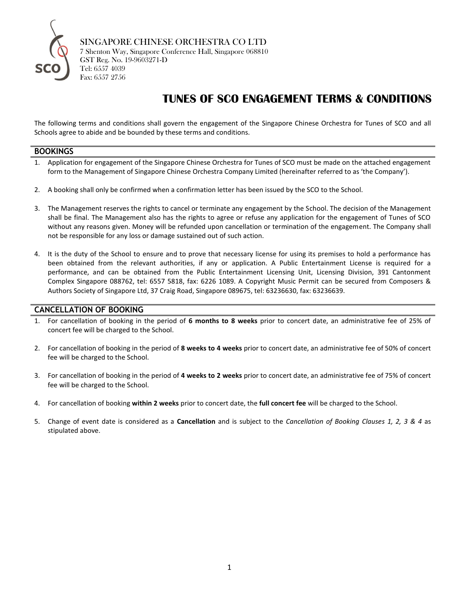

SINGAPORE CHINESE ORCHESTRA CO LTD 7 Shenton Way, Singapore Conference Hall, Singapore 068810 GST Reg. No. 19-9603271-D Tel: 6557 4039 Fax: 6557 2756

# **TUNES OF SCO ENGAGEMENT TERMS & CONDITIONS**

The following terms and conditions shall govern the engagement of the Singapore Chinese Orchestra for Tunes of SCO and all Schools agree to abide and be bounded by these terms and conditions.

#### **BOOKINGS**

- 1. Application for engagement of the Singapore Chinese Orchestra for Tunes of SCO must be made on the attached engagement form to the Management of Singapore Chinese Orchestra Company Limited (hereinafter referred to as 'the Company').
- 2. A booking shall only be confirmed when a confirmation letter has been issued by the SCO to the School.
- 3. The Management reserves the rights to cancel or terminate any engagement by the School. The decision of the Management shall be final. The Management also has the rights to agree or refuse any application for the engagement of Tunes of SCO without any reasons given. Money will be refunded upon cancellation or termination of the engagement. The Company shall not be responsible for any loss or damage sustained out of such action.
- 4. It is the duty of the School to ensure and to prove that necessary license for using its premises to hold a performance has been obtained from the relevant authorities, if any or application. A Public Entertainment License is required for a performance, and can be obtained from the Public Entertainment Licensing Unit, Licensing Division, 391 Cantonment Complex Singapore 088762, tel: 6557 5818, fax: 6226 1089. A Copyright Music Permit can be secured from Composers & Authors Society of Singapore Ltd, 37 Craig Road, Singapore 089675, tel: 63236630, fax: 63236639.

### **CANCELLATION OF BOOKING**

- 1. For cancellation of booking in the period of **6 months to 8 weeks** prior to concert date, an administrative fee of 25% of concert fee will be charged to the School.
- 2. For cancellation of booking in the period of **8 weeks to 4 weeks** prior to concert date, an administrative fee of 50% of concert fee will be charged to the School.
- 3. For cancellation of booking in the period of **4 weeks to 2 weeks** prior to concert date, an administrative fee of 75% of concert fee will be charged to the School.
- 4. For cancellation of booking **within 2 weeks** prior to concert date, the **full concert fee** will be charged to the School.
- 5. Change of event date is considered as a **Cancellation** and is subject to the *Cancellation of Booking Clauses 1, 2, 3 & 4* as stipulated above.